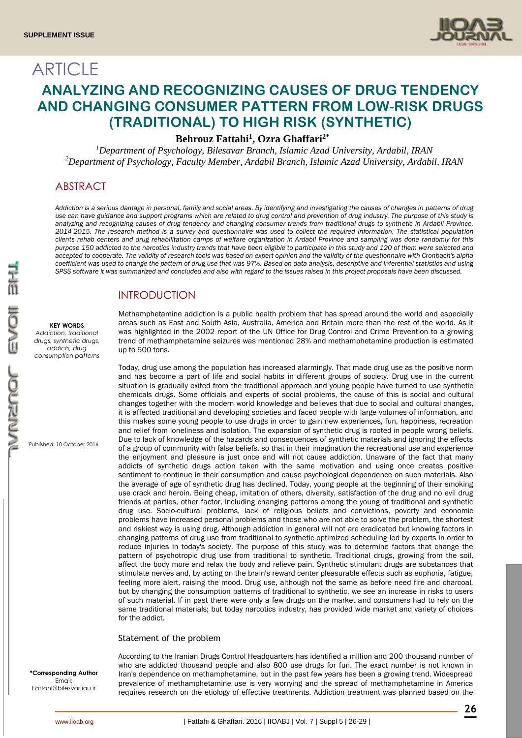**ARTICLE** 



# **ANALYZING AND RECOGNIZING CAUSES OF DRUG TENDENCY AND CHANGING CONSUMER PATTERN FROM LOW-RISK DRUGS (TRADITIONAL) TO HIGH RISK (SYNTHETIC)**

**Behrouz Fattahi<sup>1</sup> , Ozra Ghaffari2\***

*<sup>1</sup>Department of Psychology, Bilesavar Branch, Islamic Azad University, Ardabil, IRAN <sup>2</sup>Department of Psychology, Faculty Member, Ardabil Branch, Islamic Azad University, Ardabil, IRAN*

# ABSTRACT

*Addiction is a serious damage in personal, family and social areas. By identifying and investigating the causes of changes in patterns of drug use can have guidance and support programs which are related to drug control and prevention of drug industry. The purpose of this study is analyzing and recognizing causes of drug tendency and changing consumer trends from traditional drugs to synthetic in Ardabil Province, 2014-2015. The research method is a survey and questionnaire was used to collect the required information. The statistical population clients rehab centers and drug rehabilitation camps of welfare organization in Ardabil Province and sampling was done randomly for this purpose 150 addicted to the narcotics industry trends that have been eligible to participate in this study and 120 of them were selected and accepted to cooperate. The validity of research tools was based on expert opinion and the validity of the questionnaire with Cronbach's alpha coefficient was used to change the pattern of drug use that was 97%. Based on data analysis, descriptive and inferential statistics and using SPSS software it was summarized and concluded and also with regard to the issues raised in this project proposals have been discussed.*

## **INTRODUCTION**

#### **KEY WORDS**

*Addiction, traditional drugs, synthetic drugs, addicts, drug consumption patterns*

Published: 10 October 2016

Methamphetamine addiction is a public health problem that has spread around the world and especially areas such as East and South Asia, Australia, America and Britain more than the rest of the world. As it was highlighted in the 2002 report of the UN Office for Drug Control and Crime Prevention to a growing trend of methamphetamine seizures was mentioned 28% and methamphetamine production is estimated up to 500 tons.

Today, drug use among the population has increased alarmingly. That made drug use as the positive norm and has become a part of life and social habits in different groups of society. Drug use in the current situation is gradually exited from the traditional approach and young people have turned to use synthetic chemicals drugs. Some officials and experts of social problems, the cause of this is social and cultural changes together with the modern world knowledge and believes that due to social and cultural changes, it is affected traditional and developing societies and faced people with large volumes of information, and this makes some young people to use drugs in order to gain new experiences, fun, happiness, recreation and relief from loneliness and isolation. The expansion of synthetic drug is rooted in people wrong beliefs. Due to lack of knowledge of the hazards and consequences of synthetic materials and ignoring the effects of a group of community with false beliefs, so that in their imagination the recreational use and experience the enjoyment and pleasure is just once and will not cause addiction. Unaware of the fact that many addicts of synthetic drugs action taken with the same motivation and using once creates positive sentiment to continue in their consumption and cause psychological dependence on such materials. Also the average of age of synthetic drug has declined. Today, young people at the beginning of their smoking use crack and heroin. Being cheap, imitation of others, diversity, satisfaction of the drug and no evil drug friends at parties, other factor, including changing patterns among the young of traditional and synthetic drug use. Socio-cultural problems, lack of religious beliefs and convictions, poverty and economic problems have increased personal problems and those who are not able to solve the problem, the shortest and riskiest way is using drug. Although addiction in general will not are eradicated but knowing factors in changing patterns of drug use from traditional to synthetic optimized scheduling led by experts in order to reduce injuries in today's society. The purpose of this study was to determine factors that change the pattern of psychotropic drug use from traditional to synthetic. Traditional drugs, growing from the soil, affect the body more and relax the body and relieve pain. Synthetic stimulant drugs are substances that stimulate nerves and, by acting on the brain's reward center pleasurable effects such as euphoria, fatigue, feeling more alert, raising the mood. Drug use, although not the same as before need fire and charcoal, but by changing the consumption patterns of traditional to synthetic, we see an increase in risks to users of such material. If in past there were only a few drugs on the market and consumers had to rely on the same traditional materials; but today narcotics industry, has provided wide market and variety of choices for the addict.

#### Statement of the problem

**\*Corresponding Author** Email: Fattahi@bilesvar.iau.ir

According to the Iranian Drugs Control Headquarters has identified a million and 200 thousand number of who are addicted thousand people and also 800 use drugs for fun. The exact number is not known in Iran's dependence on methamphetamine, but in the past few years has been a growing trend. Widespread prevalence of methamphetamine use is very worrying and the spread of methamphetamine in America requires research on the etiology of effective treatments. Addiction treatment was planned based on the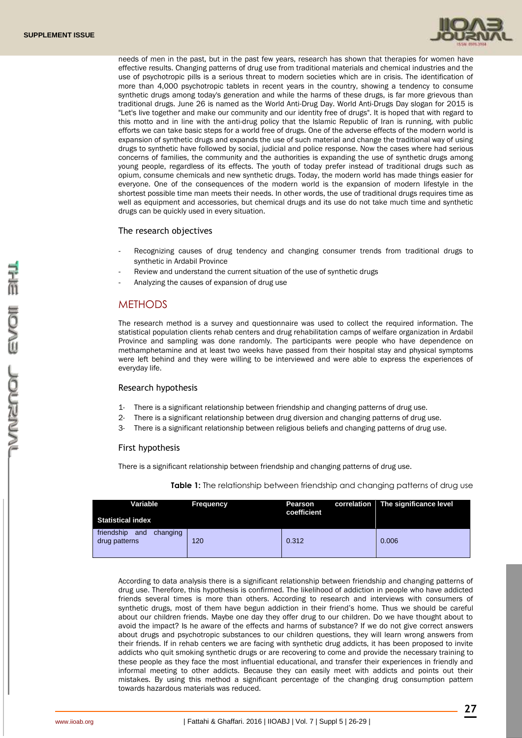

needs of men in the past, but in the past few years, research has shown that therapies for women have effective results. Changing patterns of drug use from traditional materials and chemical industries and the use of psychotropic pills is a serious threat to modern societies which are in crisis. The identification of more than 4,000 psychotropic tablets in recent years in the country, showing a tendency to consume synthetic drugs among today's generation and while the harms of these drugs, is far more grievous than traditional drugs. June 26 is named as the World Anti-Drug Day. World Anti-Drugs Day slogan for 2015 is "Let's live together and make our community and our identity free of drugs". It is hoped that with regard to this motto and in line with the anti-drug policy that the Islamic Republic of Iran is running, with public efforts we can take basic steps for a world free of drugs. One of the adverse effects of the modern world is expansion of synthetic drugs and expands the use of such material and change the traditional way of using drugs to synthetic have followed by social, judicial and police response. Now the cases where had serious concerns of families, the community and the authorities is expanding the use of synthetic drugs among young people, regardless of its effects. The youth of today prefer instead of traditional drugs such as opium, consume chemicals and new synthetic drugs. Today, the modern world has made things easier for everyone. One of the consequences of the modern world is the expansion of modern lifestyle in the shortest possible time man meets their needs. In other words, the use of traditional drugs requires time as well as equipment and accessories, but chemical drugs and its use do not take much time and synthetic drugs can be quickly used in every situation.

The research objectives

- Recognizing causes of drug tendency and changing consumer trends from traditional drugs to synthetic in Ardabil Province
- Review and understand the current situation of the use of synthetic drugs
- Analyzing the causes of expansion of drug use

## **METHODS**

The research method is a survey and questionnaire was used to collect the required information. The statistical population clients rehab centers and drug rehabilitation camps of welfare organization in Ardabil Province and sampling was done randomly. The participants were people who have dependence on methamphetamine and at least two weeks have passed from their hospital stay and physical symptoms were left behind and they were willing to be interviewed and were able to express the experiences of everyday life.

#### Research hypothesis

- 1- There is a significant relationship between friendship and changing patterns of drug use.
- 2- There is a significant relationship between drug diversion and changing patterns of drug use.
- 3- There is a significant relationship between religious beliefs and changing patterns of drug use.

#### First hypothesis

There is a significant relationship between friendship and changing patterns of drug use.

| Variable<br><b>Statistical index</b>           | <b>Frequency</b> | Pearson<br>coefficient | correlation The significance level |
|------------------------------------------------|------------------|------------------------|------------------------------------|
| friendship<br>and<br>changing<br>drug patterns | 120              | 0.312                  | 0.006                              |

**Table 1:** The relationship between friendship and changing patterns of drug use

According to data analysis there is a significant relationship between friendship and changing patterns of drug use. Therefore, this hypothesis is confirmed. The likelihood of addiction in people who have addicted friends several times is more than others. According to research and interviews with consumers of synthetic drugs, most of them have begun addiction in their friend's home. Thus we should be careful about our children friends. Maybe one day they offer drug to our children. Do we have thought about to avoid the impact? Is he aware of the effects and harms of substance? If we do not give correct answers about drugs and psychotropic substances to our children questions, they will learn wrong answers from their friends. If in rehab centers we are facing with synthetic drug addicts, it has been proposed to invite addicts who quit smoking synthetic drugs or are recovering to come and provide the necessary training to these people as they face the most influential educational, and transfer their experiences in friendly and informal meeting to other addicts. Because they can easily meet with addicts and points out their mistakes. By using this method a significant percentage of the changing drug consumption pattern towards hazardous materials was reduced.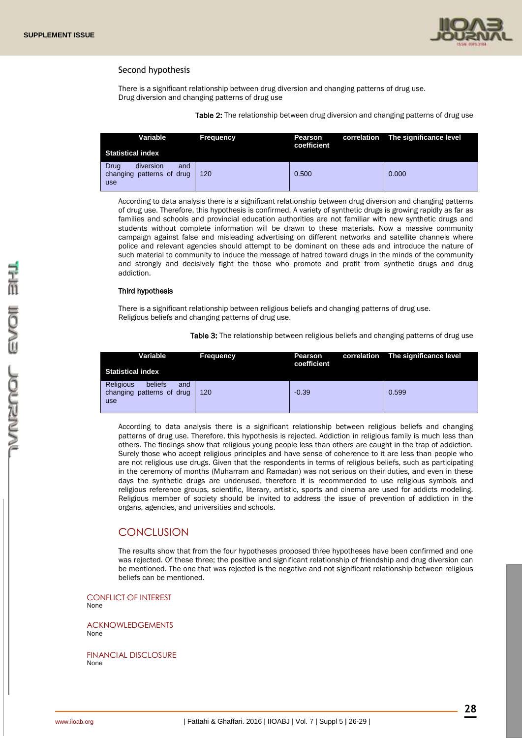

#### Second hypothesis

There is a significant relationship between drug diversion and changing patterns of drug use. Drug diversion and changing patterns of drug use

Table 2: The relationship between drug diversion and changing patterns of drug use

| Variable<br><b>Statistical index</b>                         | <b>Frequency</b> | Pearson<br>coefficient | correlation The significance level |
|--------------------------------------------------------------|------------------|------------------------|------------------------------------|
| diversion<br>Drua<br>and<br>changing patterns of drug<br>use | 120              | 0.500                  | 0.000                              |

According to data analysis there is a significant relationship between drug diversion and changing patterns of drug use. Therefore, this hypothesis is confirmed. A variety of synthetic drugs is growing rapidly as far as families and schools and provincial education authorities are not familiar with new synthetic drugs and students without complete information will be drawn to these materials. Now a massive community campaign against false and misleading advertising on different networks and satellite channels where police and relevant agencies should attempt to be dominant on these ads and introduce the nature of such material to community to induce the message of hatred toward drugs in the minds of the community and strongly and decisively fight the those who promote and profit from synthetic drugs and drug addiction.

#### Third hypothesis

There is a significant relationship between religious beliefs and changing patterns of drug use. Religious beliefs and changing patterns of drug use.

Table 3: The relationship between religious beliefs and changing patterns of drug use

| Variable<br><b>Statistical index</b>                                   | <b>Frequency</b> | Pearson<br>coefficient | correlation The significance level |
|------------------------------------------------------------------------|------------------|------------------------|------------------------------------|
| <b>Religious</b><br>beliefs<br>and<br>changing patterns of drug<br>use | 120              | $-0.39$                | 0.599                              |

According to data analysis there is a significant relationship between religious beliefs and changing patterns of drug use. Therefore, this hypothesis is rejected. Addiction in religious family is much less than others. The findings show that religious young people less than others are caught in the trap of addiction. Surely those who accept religious principles and have sense of coherence to it are less than people who are not religious use drugs. Given that the respondents in terms of religious beliefs, such as participating in the ceremony of months (Muharram and Ramadan) was not serious on their duties, and even in these days the synthetic drugs are underused, therefore it is recommended to use religious symbols and religious reference groups, scientific, literary, artistic, sports and cinema are used for addicts modeling. Religious member of society should be invited to address the issue of prevention of addiction in the organs, agencies, and universities and schools.

### **CONCLUSION**

The results show that from the four hypotheses proposed three hypotheses have been confirmed and one was rejected. Of these three; the positive and significant relationship of friendship and drug diversion can be mentioned. The one that was rejected is the negative and not significant relationship between religious beliefs can be mentioned.

CONFLICT OF INTEREST None

ACKNOWLEDGEMENTS None

FINANCIAL DISCLOSURE None